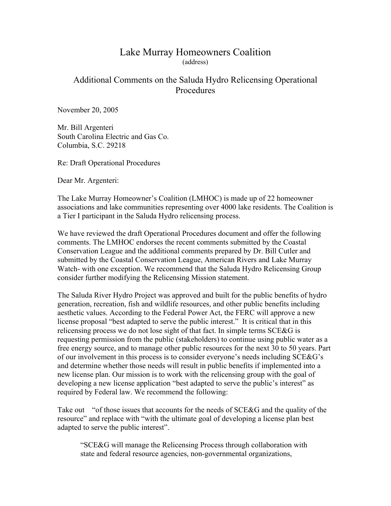## Lake Murray Homeowners Coalition (address)

## Additional Comments on the Saluda Hydro Relicensing Operational Procedures

November 20, 2005

Mr. Bill Argenteri South Carolina Electric and Gas Co. Columbia, S.C. 29218

Re: Draft Operational Procedures

Dear Mr. Argenteri:

The Lake Murray Homeowner's Coalition (LMHOC) is made up of 22 homeowner associations and lake communities representing over 4000 lake residents. The Coalition is a Tier I participant in the Saluda Hydro relicensing process.

We have reviewed the draft Operational Procedures document and offer the following comments. The LMHOC endorses the recent comments submitted by the Coastal Conservation League and the additional comments prepared by Dr. Bill Cutler and submitted by the Coastal Conservation League, American Rivers and Lake Murray Watch- with one exception. We recommend that the Saluda Hydro Relicensing Group consider further modifying the Relicensing Mission statement.

The Saluda River Hydro Project was approved and built for the public benefits of hydro generation, recreation, fish and wildlife resources, and other public benefits including aesthetic values. According to the Federal Power Act, the FERC will approve a new license proposal "best adapted to serve the public interest." It is critical that in this relicensing process we do not lose sight of that fact. In simple terms SCE&G is requesting permission from the public (stakeholders) to continue using public water as a free energy source, and to manage other public resources for the next 30 to 50 years. Part of our involvement in this process is to consider everyone's needs including SCE&G's and determine whether those needs will result in public benefits if implemented into a new license plan. Our mission is to work with the relicensing group with the goal of developing a new license application "best adapted to serve the public's interest" as required by Federal law. We recommend the following:

Take out "of those issues that accounts for the needs of SCE&G and the quality of the resource" and replace with "with the ultimate goal of developing a license plan best adapted to serve the public interest".

"SCE&G will manage the Relicensing Process through collaboration with state and federal resource agencies, non-governmental organizations,